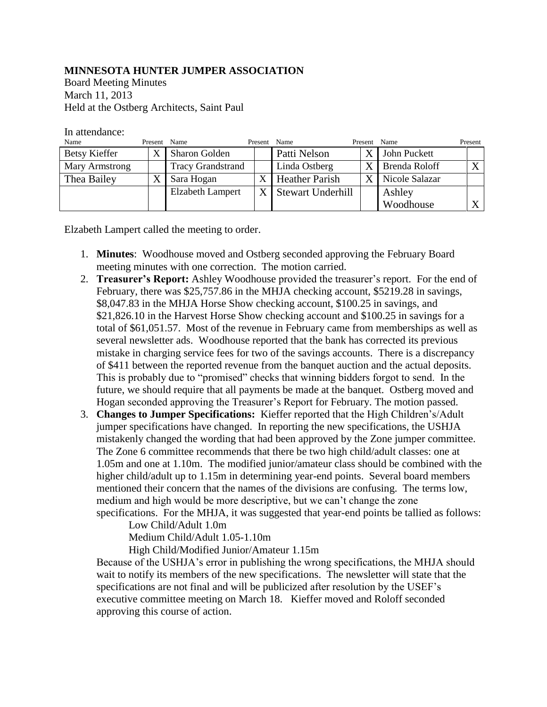## **MINNESOTA HUNTER JUMPER ASSOCIATION**

Board Meeting Minutes March 11, 2013 Held at the Ostberg Architects, Saint Paul

## In attendance:

| Name                 | Present Name |                          | Present | Name                  | Present | Name           | Present      |
|----------------------|--------------|--------------------------|---------|-----------------------|---------|----------------|--------------|
| <b>Betsy Kieffer</b> | X            | <b>Sharon Golden</b>     |         | Patti Nelson          | X       | John Puckett   |              |
| Mary Armstrong       |              | <b>Tracy Grandstrand</b> |         | Linda Ostberg         | X       | Brenda Roloff  | $\mathbf{v}$ |
| Thea Bailey          |              | Sara Hogan               |         | <b>Heather Parish</b> | X       | Nicole Salazar |              |
|                      |              | <b>Elzabeth Lampert</b>  |         | X Stewart Underhill   |         | Ashley         |              |
|                      |              |                          |         |                       |         | Woodhouse      |              |

Elzabeth Lampert called the meeting to order.

- 1. **Minutes**: Woodhouse moved and Ostberg seconded approving the February Board meeting minutes with one correction. The motion carried.
- 2. **Treasurer's Report:** Ashley Woodhouse provided the treasurer's report. For the end of February, there was \$25,757.86 in the MHJA checking account, \$5219.28 in savings, \$8,047.83 in the MHJA Horse Show checking account, \$100.25 in savings, and \$21,826.10 in the Harvest Horse Show checking account and \$100.25 in savings for a total of \$61,051.57. Most of the revenue in February came from memberships as well as several newsletter ads. Woodhouse reported that the bank has corrected its previous mistake in charging service fees for two of the savings accounts. There is a discrepancy of \$411 between the reported revenue from the banquet auction and the actual deposits. This is probably due to "promised" checks that winning bidders forgot to send. In the future, we should require that all payments be made at the banquet. Ostberg moved and Hogan seconded approving the Treasurer's Report for February. The motion passed.
- 3. **Changes to Jumper Specifications:** Kieffer reported that the High Children's/Adult jumper specifications have changed. In reporting the new specifications, the USHJA mistakenly changed the wording that had been approved by the Zone jumper committee. The Zone 6 committee recommends that there be two high child/adult classes: one at 1.05m and one at 1.10m. The modified junior/amateur class should be combined with the higher child/adult up to 1.15m in determining year-end points. Several board members mentioned their concern that the names of the divisions are confusing. The terms low, medium and high would be more descriptive, but we can't change the zone specifications. For the MHJA, it was suggested that year-end points be tallied as follows:

Low Child/Adult 1.0m

Medium Child/Adult 1.05-1.10m

High Child/Modified Junior/Amateur 1.15m

Because of the USHJA's error in publishing the wrong specifications, the MHJA should wait to notify its members of the new specifications. The newsletter will state that the specifications are not final and will be publicized after resolution by the USEF's executive committee meeting on March 18. Kieffer moved and Roloff seconded approving this course of action.